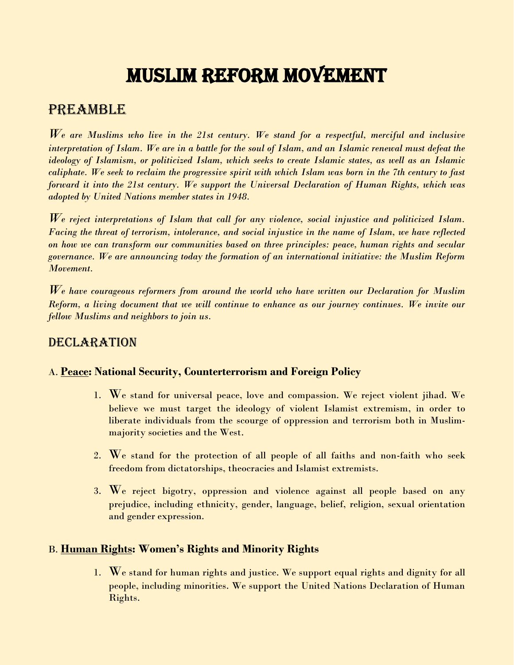# MUSLIM REFORM MOVEMENT

## PREAMBLE

*We are Muslims who live in the 21st century. We stand for a respectful, merciful and inclusive interpretation of Islam. We are in a battle for the soul of Islam, and an Islamic renewal must defeat the ideology of Islamism, or politicized Islam, which seeks to create Islamic states, as well as an Islamic caliphate. We seek to reclaim the progressive spirit with which Islam was born in the 7th century to fast forward it into the 21st century. We support the Universal Declaration of Human Rights, which was adopted by United Nations member states in 1948.* 

*We reject interpretations of Islam that call for any violence, social injustice and politicized Islam. Facing the threat of terrorism, intolerance, and social injustice in the name of Islam, we have reflected on how we can transform our communities based on three principles: peace, human rights and secular governance. We are announcing today the formation of an international initiative: the Muslim Reform Movement.* 

*We have courageous reformers from around the world who have written our Declaration for Muslim Reform, a living document that we will continue to enhance as our journey continues. We invite our fellow Muslims and neighbors to join us.*

## DECLARATION

### A. **Peace: National Security, Counterterrorism and Foreign Policy**

- 1. We stand for universal peace, love and compassion. We reject violent jihad. We believe we must target the ideology of violent Islamist extremism, in order to liberate individuals from the scourge of oppression and terrorism both in Muslimmajority societies and the West.
- 2. We stand for the protection of all people of all faiths and non-faith who seek freedom from dictatorships, theocracies and Islamist extremists.
- 3. We reject bigotry, oppression and violence against all people based on any prejudice, including ethnicity, gender, language, belief, religion, sexual orientation and gender expression.

#### B. **Human Rights: Women's Rights and Minority Rights**

1. We stand for human rights and justice. We support equal rights and dignity for all people, including minorities. We support the United Nations Declaration of Human Rights.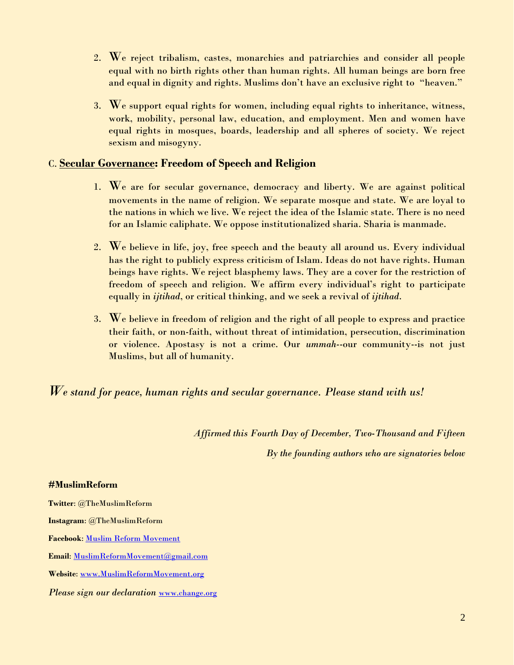- 2. We reject tribalism, castes, monarchies and patriarchies and consider all people equal with no birth rights other than human rights. All human beings are born free and equal in dignity and rights. Muslims don't have an exclusive right to "heaven."
- 3. We support equal rights for women, including equal rights to inheritance, witness, work, mobility, personal law, education, and employment. Men and women have equal rights in mosques, boards, leadership and all spheres of society. We reject sexism and misogyny.

#### C. **Secular Governance: Freedom of Speech and Religion**

- 1. We are for secular governance, democracy and liberty. We are against political movements in the name of religion. We separate mosque and state. We are loyal to the nations in which we live. We reject the idea of the Islamic state. There is no need for an Islamic caliphate. We oppose institutionalized sharia. Sharia is manmade.
- 2. We believe in life, joy, free speech and the beauty all around us. Every individual has the right to publicly express criticism of Islam. Ideas do not have rights. Human beings have rights. We reject blasphemy laws. They are a cover for the restriction of freedom of speech and religion. We affirm every individual's right to participate equally in *ijtihad*, or critical thinking, and we seek a revival of *ijtihad*.
- 3. We believe in freedom of religion and the right of all people to express and practice their faith, or non-faith, without threat of intimidation, persecution, discrimination or violence. Apostasy is not a crime. Our *ummah*--our community--is not just Muslims, but all of humanity.

*We stand for peace, human rights and secular governance. Please stand with us!* 

*Affirmed this Fourth Day of December, Two-Thousand and Fifteen*

*By the founding authors who are signatories below*

#### **#MuslimReform**

**Twitter**: @TheMuslimReform **Instagram**: @TheMuslimReform **Facebook**: [Muslim Reform Movement](https://www.facebook.com/Muslim-Reform-Movement-462078103964443/) **Email**[: MuslimReformMovement@gmail.com](mailto:MuslimReformMovement@gmail.com)  **Website**[: www.MuslimReformMovement.org](http://www.muslimreformmovement.org/)  *Please sign our declaration* [www.change.org](http://www.change.org/)